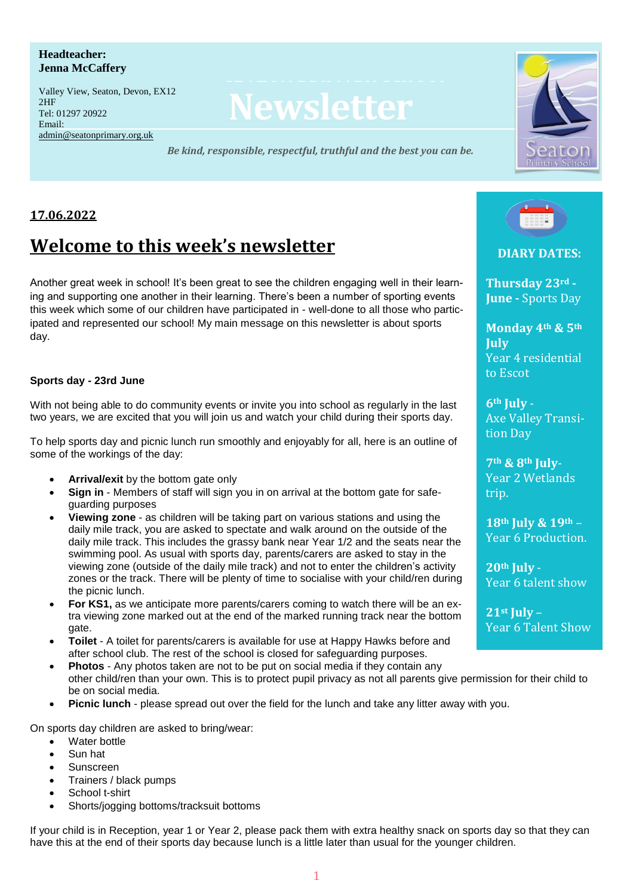#### **Headteacher: Jenna McCaffery**

eman:<br>[admin@seatonprimary.org.uk](mailto:admin@seatonprimary.org.uk) Tel: 01297 2092 Valley View, Seaton, Devon, EX12 2HF Tel: 01297 20922 Email:

# **Newsletter**

*Be kind, responsible, respectful, truthful and the best you can be.*  $E$  and  $E$  and  $E$  and  $E$  administration  $E$ 



# **17.06.2022**

# **Welcome to this week's newsletter**

Another great week in school! It's been great to see the children engaging well in their learning and supporting one another in their learning. There's been a number of sporting events this week which some of our children have participated in - well-done to all those who participated and represented our school! My main message on this newsletter is about sports day.

#### **Sports day - 23rd June**

With not being able to do community events or invite you into school as regularly in the last two years, we are excited that you will join us and watch your child during their sports day.

To help sports day and picnic lunch run smoothly and enjoyably for all, here is an outline of some of the workings of the day:

- **Arrival/exit** by the bottom gate only
- **Sign in** Members of staff will sign you in on arrival at the bottom gate for safeguarding purposes
- **Viewing zone** as children will be taking part on various stations and using the daily mile track, you are asked to spectate and walk around on the outside of the daily mile track. This includes the grassy bank near Year 1/2 and the seats near the swimming pool. As usual with sports day, parents/carers are asked to stay in the viewing zone (outside of the daily mile track) and not to enter the children's activity zones or the track. There will be plenty of time to socialise with your child/ren during the picnic lunch.
- **For KS1,** as we anticipate more parents/carers coming to watch there will be an extra viewing zone marked out at the end of the marked running track near the bottom gate.
- **Toilet** A toilet for parents/carers is available for use at Happy Hawks before and after school club. The rest of the school is closed for safeguarding purposes.
- **Photos** Any photos taken are not to be put on social media if they contain any other child/ren than your own. This is to protect pupil privacy as not all parents give permission for their child to be on social media.
- **Picnic lunch** please spread out over the field for the lunch and take any litter away with you.

On sports day children are asked to bring/wear:

- Water bottle
- Sun hat
- Sunscreen
- Trainers / black pumps
- School t-shirt
- Shorts/jogging bottoms/tracksuit bottoms

If your child is in Reception, year 1 or Year 2, please pack them with extra healthy snack on sports day so that they can have this at the end of their sports day because lunch is a little later than usual for the younger children.



**DIARY DATES:** 

**Thursday 23rd - June -** Sports Day

**Monday 4th & 5th July** Year 4 residential to Escot

**6th July** - Axe Valley Transition Day

**7th & 8th July**-Year 2 Wetlands trip.

**18th July & 19th** – Year 6 Production.

**20th July** - Year 6 talent show

**21st July** – Year 6 Talent Show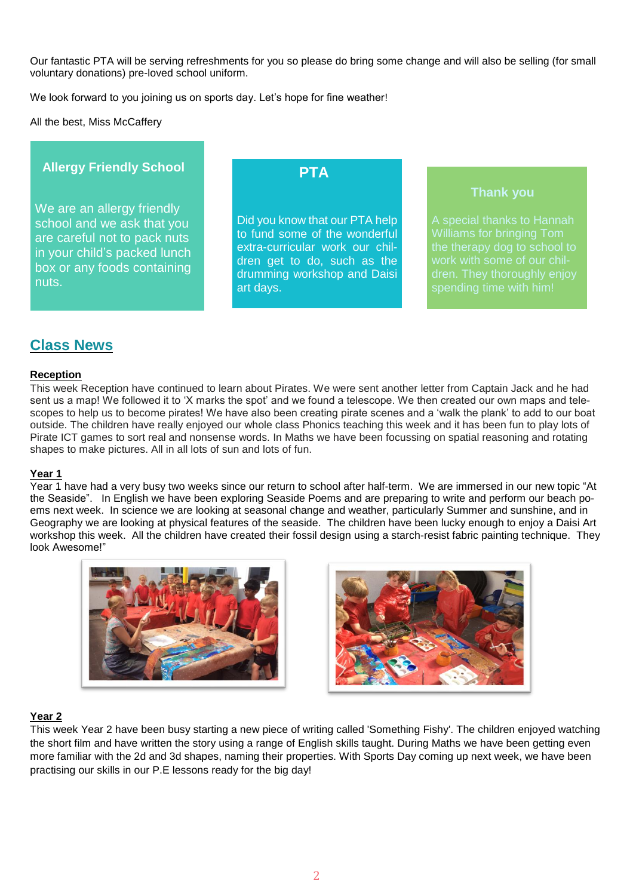Our fantastic PTA will be serving refreshments for you so please do bring some change and will also be selling (for small voluntary donations) pre-loved school uniform.

We look forward to you joining us on sports day. Let's hope for fine weather!

All the best, Miss McCaffery

#### **Allergy Friendly School**

We are an allergy friendly school and we ask that you are careful not to pack nuts in your child's packed lunch box or any foods containing nuts.

# **PTA**

Did you know that our PTA help to fund some of the wonderful extra-curricular work our children get to do, such as the drumming workshop and Daisi art days.

 **Thank you**

A special thanks to Hannah Williams for bringing Tom the therapy dog to school to dren. They thoroughly enjoy

# **Class News**

#### **Reception**

This week Reception have continued to learn about Pirates. We were sent another letter from Captain Jack and he had sent us a map! We followed it to 'X marks the spot' and we found a telescope. We then created our own maps and telescopes to help us to become pirates! We have also been creating pirate scenes and a 'walk the plank' to add to our boat outside. The children have really enjoyed our whole class Phonics teaching this week and it has been fun to play lots of Pirate ICT games to sort real and nonsense words. In Maths we have been focussing on spatial reasoning and rotating shapes to make pictures. All in all lots of sun and lots of fun.

#### **Year 1**

Year 1 have had a very busy two weeks since our return to school after half-term. We are immersed in our new topic "At the Seaside". In English we have been exploring Seaside Poems and are preparing to write and perform our beach poems next week. In science we are looking at seasonal change and weather, particularly Summer and sunshine, and in Geography we are looking at physical features of the seaside. The children have been lucky enough to enjoy a Daisi Art workshop this week. All the children have created their fossil design using a starch-resist fabric painting technique. They look Awesome!"





#### **Year 2**

This week Year 2 have been busy starting a new piece of writing called 'Something Fishy'. The children enjoyed watching the short film and have written the story using a range of English skills taught. During Maths we have been getting even more familiar with the 2d and 3d shapes, naming their properties. With Sports Day coming up next week, we have been practising our skills in our P.E lessons ready for the big day!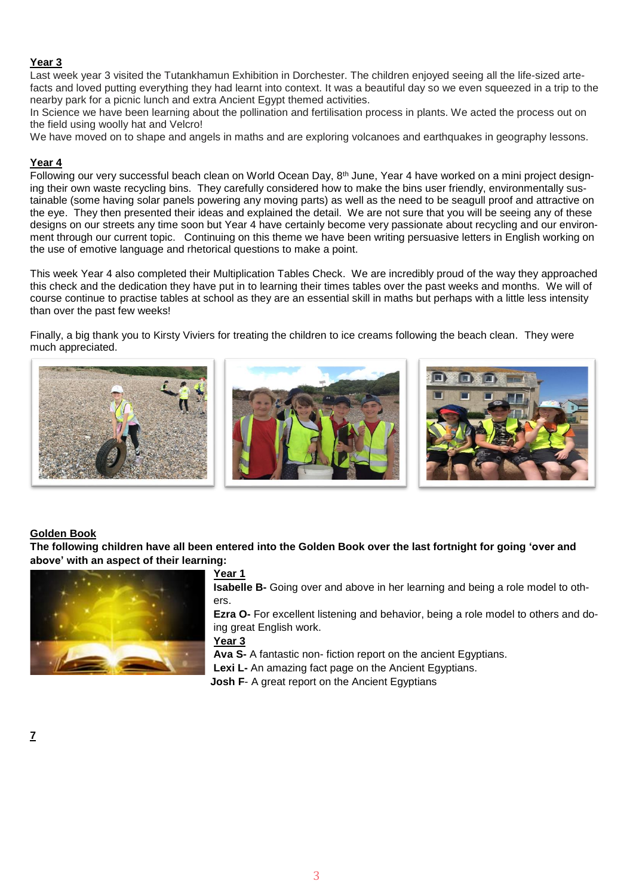#### **Year 3**

Last week year 3 visited the Tutankhamun Exhibition in Dorchester. The children enjoyed seeing all the life-sized artefacts and loved putting everything they had learnt into context. It was a beautiful day so we even squeezed in a trip to the nearby park for a picnic lunch and extra Ancient Egypt themed activities.

In Science we have been learning about the pollination and fertilisation process in plants. We acted the process out on the field using woolly hat and Velcro!

We have moved on to shape and angels in maths and are exploring volcanoes and earthquakes in geography lessons.

#### **Year 4**

Following our very successful beach clean on World Ocean Day, 8th June, Year 4 have worked on a mini project designing their own waste recycling bins. They carefully considered how to make the bins user friendly, environmentally sustainable (some having solar panels powering any moving parts) as well as the need to be seagull proof and attractive on the eye. They then presented their ideas and explained the detail. We are not sure that you will be seeing any of these designs on our streets any time soon but Year 4 have certainly become very passionate about recycling and our environment through our current topic. Continuing on this theme we have been writing persuasive letters in English working on the use of emotive language and rhetorical questions to make a point.

This week Year 4 also completed their Multiplication Tables Check. We are incredibly proud of the way they approached this check and the dedication they have put in to learning their times tables over the past weeks and months. We will of course continue to practise tables at school as they are an essential skill in maths but perhaps with a little less intensity than over the past few weeks!

Finally, a big thank you to Kirsty Viviers for treating the children to ice creams following the beach clean. They were much appreciated.



#### **Golden Book**

The following children have all been entered into the Golden Book over the last fortnight for going 'over and **above' with an aspect of their learning:**



#### **Year 1**

**Isabelle B-** Going over and above in her learning and being a role model to others.

**Ezra O-** For excellent listening and behavior, being a role model to others and doing great English work.

#### **Year 3**

**Ava S-** A fantastic non- fiction report on the ancient Egyptians.

**Lexi L-** An amazing fact page on the Ancient Egyptians.

**Josh F**- A great report on the Ancient Egyptians